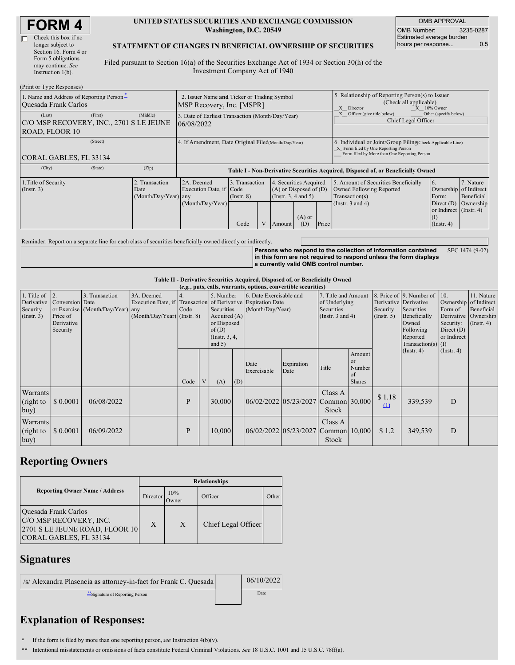| <b>FORM4</b> |
|--------------|
|--------------|

#### **UNITED STATES SECURITIES AND EXCHANGE COMMISSION Washington, D.C. 20549**

OMB APPROVAL OMB Number: 3235-0287 Estimated average burden hours per response... 0.5

### **STATEMENT OF CHANGES IN BENEFICIAL OWNERSHIP OF SECURITIES**

Filed pursuant to Section 16(a) of the Securities Exchange Act of 1934 or Section 30(h) of the Investment Company Act of 1940

| (Print or Type Responses)                                                      |                                                                          |                                                                                  |                                           |  |                                                                                            |                                                                                                              |                                                                                                                                                    |                                                                                                             |                                                                                                           |                                      |  |
|--------------------------------------------------------------------------------|--------------------------------------------------------------------------|----------------------------------------------------------------------------------|-------------------------------------------|--|--------------------------------------------------------------------------------------------|--------------------------------------------------------------------------------------------------------------|----------------------------------------------------------------------------------------------------------------------------------------------------|-------------------------------------------------------------------------------------------------------------|-----------------------------------------------------------------------------------------------------------|--------------------------------------|--|
| 1. Name and Address of Reporting Person-<br><b>Ouesada Frank Carlos</b>        | 2. Issuer Name and Ticker or Trading Symbol<br>MSP Recovery, Inc. [MSPR] |                                                                                  |                                           |  |                                                                                            | 5. Relationship of Reporting Person(s) to Issuer<br>(Check all applicable)<br>X Director<br>$X = 10\%$ Owner |                                                                                                                                                    |                                                                                                             |                                                                                                           |                                      |  |
| (First)<br>(Last)<br>C/O MSP RECOVERY, INC., 2701 S LE JEUNE<br>ROAD, FLOOR 10 | (Middle)                                                                 | 3. Date of Earliest Transaction (Month/Day/Year)<br>06/08/2022                   |                                           |  |                                                                                            |                                                                                                              |                                                                                                                                                    | Other (specify below)<br>Officer (give title below)<br>Chief Legal Officer                                  |                                                                                                           |                                      |  |
| (Street)<br>CORAL GABLES, FL 33134                                             |                                                                          | 4. If Amendment, Date Original Filed (Month/Day/Year)                            |                                           |  |                                                                                            |                                                                                                              | 6. Individual or Joint/Group Filing(Check Applicable Line)<br>X Form filed by One Reporting Person<br>Form filed by More than One Reporting Person |                                                                                                             |                                                                                                           |                                      |  |
| (City)<br>(State)                                                              | (Zip)                                                                    | Table I - Non-Derivative Securities Acquired, Disposed of, or Beneficially Owned |                                           |  |                                                                                            |                                                                                                              |                                                                                                                                                    |                                                                                                             |                                                                                                           |                                      |  |
| 1. Title of Security<br>$($ Instr. 3 $)$                                       | 2. Transaction<br>Date<br>(Month/Day/Year) any                           | 2A. Deemed<br>Execution Date, if Code<br>(Month/Day/Year)                        | 3. Transaction<br>$($ Instr. $8)$<br>Code |  | 4. Securities Acquired<br>$(A)$ or Disposed of $(D)$<br>(Instr. $3, 4$ and $5$ )<br>Amount | $(A)$ or<br>(D)                                                                                              | Price                                                                                                                                              | 5. Amount of Securities Beneficially<br>Owned Following Reported<br>Transaction(s)<br>(Instr. $3$ and $4$ ) | 6.<br>Ownership of Indirect<br>Form:<br>Direct $(D)$<br>or Indirect (Instr. 4)<br>(I)<br>$($ Instr. 4 $)$ | 7. Nature<br>Beneficial<br>Ownership |  |

Reminder: Report on a separate line for each class of securities beneficially owned directly or indirectly.

**Persons who respond to the collection of information contained in this form are not required to respond unless the form displays a currently valid OMB control number.** SEC 1474 (9-02)

#### **Table II - Derivative Securities Acquired, Disposed of, or Beneficially Owned**

| (e.g., puts, calls, warrants, options, convertible securities)  |                                                       |                                                    |                                                                                                             |      |  |                                                                                                |     |                                             |                                     |                                                                             |                                                      |                         |                                                                                                                                               |                                                                              |                                                                      |
|-----------------------------------------------------------------|-------------------------------------------------------|----------------------------------------------------|-------------------------------------------------------------------------------------------------------------|------|--|------------------------------------------------------------------------------------------------|-----|---------------------------------------------|-------------------------------------|-----------------------------------------------------------------------------|------------------------------------------------------|-------------------------|-----------------------------------------------------------------------------------------------------------------------------------------------|------------------------------------------------------------------------------|----------------------------------------------------------------------|
| 1. Title of $\vert$ 2.<br>Derivative<br>Security<br>(Insert. 3) | Conversion Date<br>Price of<br>Derivative<br>Security | 3. Transaction<br>or Exercise (Month/Day/Year) any | 3A. Deemed<br>Execution Date, if Transaction of Derivative Expiration Date<br>$(Month/Day/Year)$ (Instr. 8) | Code |  | 5. Number<br>Securities<br>Acquired (A)<br>or Disposed<br>of(D)<br>(Instr. $3, 4,$<br>and $5)$ |     | 6. Date Exercisable and<br>(Month/Day/Year) |                                     | 7. Title and Amount<br>of Underlying<br>Securities<br>(Instr. $3$ and $4$ ) |                                                      | Security<br>(Insert. 5) | 8. Price of 9. Number of 10.<br>Derivative Derivative<br>Securities<br>Beneficially<br>Owned<br>Following<br>Reported<br>Transaction(s) $(I)$ | Ownership of Indirect<br>Form of<br>Security:<br>Direct $(D)$<br>or Indirect | 11. Nature<br>Beneficial<br>Derivative Ownership<br>$($ Instr. 4 $)$ |
|                                                                 |                                                       |                                                    |                                                                                                             | Code |  | (A)                                                                                            | (D) | Date<br>Exercisable                         | Expiration<br>Date                  | Title                                                                       | Amount<br><b>or</b><br>Number<br>of<br><b>Shares</b> |                         | $($ Instr. 4 $)$                                                                                                                              | $($ Instr. 4 $)$                                                             |                                                                      |
| Warrants<br>(right to<br>buy)                                   | \$0.0001                                              | 06/08/2022                                         |                                                                                                             | P    |  | 30,000                                                                                         |     |                                             | 06/02/2022 05/23/2027 Common 30,000 | Class A<br>Stock                                                            |                                                      | \$1.18<br>(1)           | 339,539                                                                                                                                       | D                                                                            |                                                                      |
| Warrants<br>(right to<br>buy)                                   | \$0.0001                                              | 06/09/2022                                         |                                                                                                             | P    |  | 10,000                                                                                         |     |                                             | 06/02/2022 05/23/2027 Common 10,000 | Class A<br>Stock                                                            |                                                      | \$1.2                   | 349,539                                                                                                                                       | D                                                                            |                                                                      |

## **Reporting Owners**

|                                                                                                            | <b>Relationships</b> |               |                     |       |  |  |  |  |  |
|------------------------------------------------------------------------------------------------------------|----------------------|---------------|---------------------|-------|--|--|--|--|--|
| <b>Reporting Owner Name / Address</b>                                                                      | Director             | 10%<br>.)wner | Officer             | Other |  |  |  |  |  |
| Quesada Frank Carlos<br>C/O MSP RECOVERY, INC.<br>2701 S LE JEUNE ROAD, FLOOR 10<br>CORAL GABLES, FL 33134 | X                    | $\mathbf{X}$  | Chief Legal Officer |       |  |  |  |  |  |

### **Signatures**

| /s/ Alexandra Plasencia as attorney-in-fact for Frank C. Quesada | 06/10/2022  |
|------------------------------------------------------------------|-------------|
| Signature of Reporting Person                                    | <b>Date</b> |

# **Explanation of Responses:**

**\*** If the form is filed by more than one reporting person,*see* Instruction 4(b)(v).

**\*\*** Intentional misstatements or omissions of facts constitute Federal Criminal Violations. *See* 18 U.S.C. 1001 and 15 U.S.C. 78ff(a).